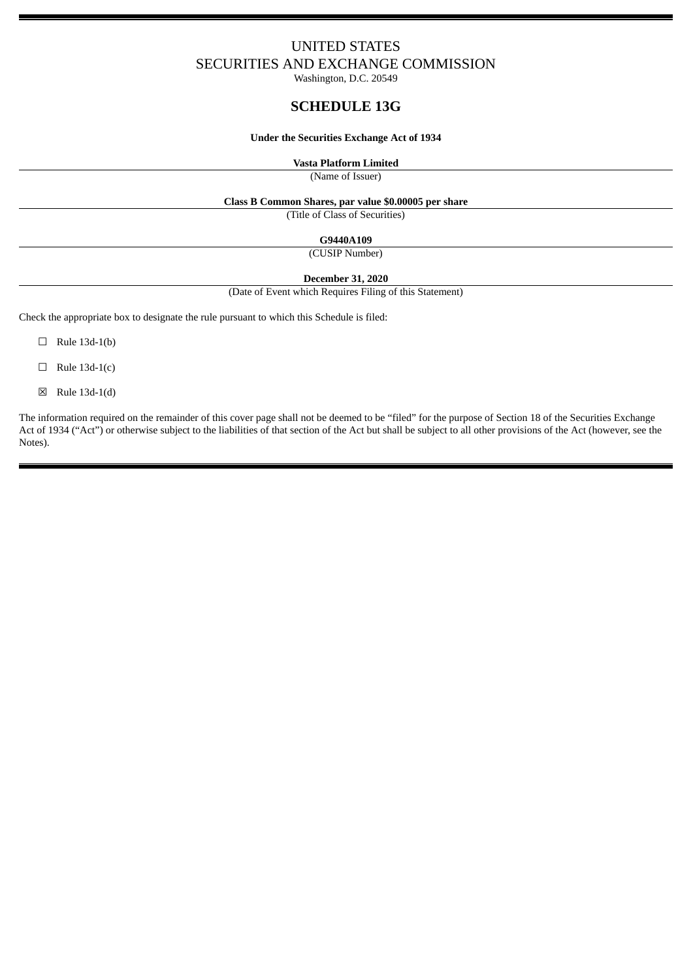# UNITED STATES SECURITIES AND EXCHANGE COMMISSION

Washington, D.C. 20549

# **SCHEDULE 13G**

#### **Under the Securities Exchange Act of 1934**

**Vasta Platform Limited**

(Name of Issuer)

#### **Class B Common Shares, par value \$0.00005 per share**

(Title of Class of Securities)

**G9440A109**

(CUSIP Number)

**December 31, 2020**

(Date of Event which Requires Filing of this Statement)

Check the appropriate box to designate the rule pursuant to which this Schedule is filed:

- $\Box$  Rule 13d-1(b)
- $\Box$  Rule 13d-1(c)
- ☒ Rule 13d-1(d)

The information required on the remainder of this cover page shall not be deemed to be "filed" for the purpose of Section 18 of the Securities Exchange Act of 1934 ("Act") or otherwise subject to the liabilities of that section of the Act but shall be subject to all other provisions of the Act (however, see the Notes).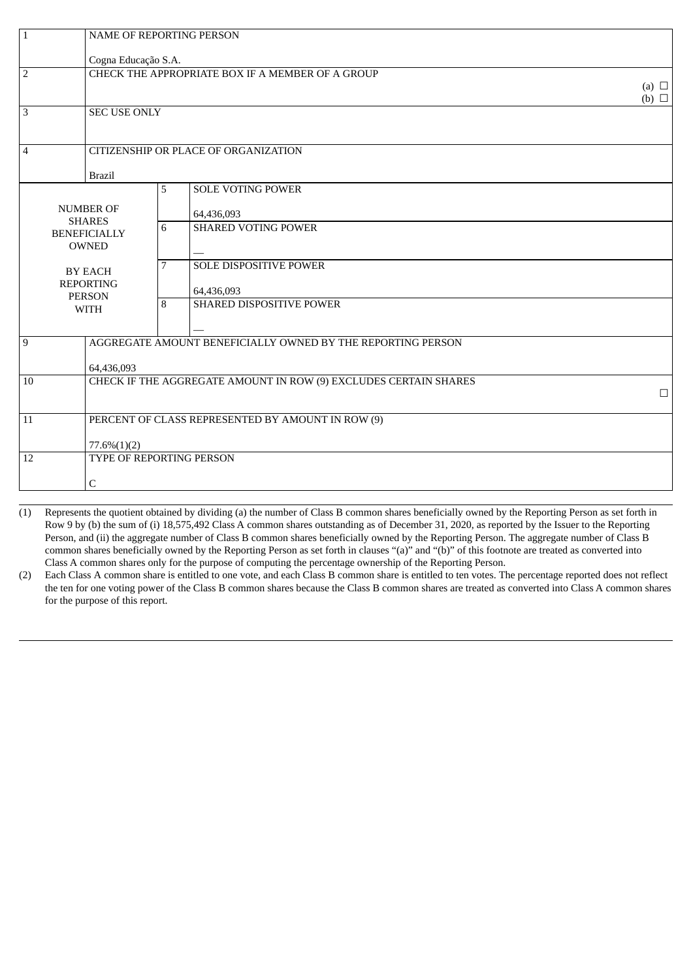| $\mathbf{1}$                                                                                                                                   | NAME OF REPORTING PERSON                                                   |   |                                                             |            |
|------------------------------------------------------------------------------------------------------------------------------------------------|----------------------------------------------------------------------------|---|-------------------------------------------------------------|------------|
|                                                                                                                                                | Cogna Educação S.A.                                                        |   |                                                             |            |
| $\overline{2}$                                                                                                                                 |                                                                            |   | CHECK THE APPROPRIATE BOX IF A MEMBER OF A GROUP            |            |
| $\overline{3}$<br><b>SEC USE ONLY</b>                                                                                                          |                                                                            |   |                                                             | (b) $\Box$ |
| $\overline{4}$                                                                                                                                 |                                                                            |   | CITIZENSHIP OR PLACE OF ORGANIZATION                        |            |
| <b>Brazil</b>                                                                                                                                  |                                                                            | 5 | <b>SOLE VOTING POWER</b>                                    |            |
| <b>NUMBER OF</b><br><b>SHARES</b><br><b>BENEFICIALLY</b><br><b>OWNED</b><br><b>BY EACH</b><br><b>REPORTING</b><br><b>PERSON</b><br><b>WITH</b> |                                                                            |   | 64,436,093                                                  |            |
|                                                                                                                                                |                                                                            | 6 | <b>SHARED VOTING POWER</b>                                  |            |
|                                                                                                                                                |                                                                            | 7 | <b>SOLE DISPOSITIVE POWER</b><br>64,436,093                 |            |
|                                                                                                                                                |                                                                            | 8 | SHARED DISPOSITIVE POWER                                    |            |
| $\overline{9}$                                                                                                                                 |                                                                            |   | AGGREGATE AMOUNT BENEFICIALLY OWNED BY THE REPORTING PERSON |            |
|                                                                                                                                                | 64,436,093                                                                 |   |                                                             |            |
| 10                                                                                                                                             | CHECK IF THE AGGREGATE AMOUNT IN ROW (9) EXCLUDES CERTAIN SHARES<br>$\Box$ |   |                                                             |            |
| PERCENT OF CLASS REPRESENTED BY AMOUNT IN ROW (9)<br>11                                                                                        |                                                                            |   |                                                             |            |
|                                                                                                                                                | $77.6\%(1)(2)$                                                             |   |                                                             |            |
| 12                                                                                                                                             | TYPE OF REPORTING PERSON                                                   |   |                                                             |            |
| $\mathsf C$                                                                                                                                    |                                                                            |   |                                                             |            |

(1) Represents the quotient obtained by dividing (a) the number of Class B common shares beneficially owned by the Reporting Person as set forth in Row 9 by (b) the sum of (i) 18,575,492 Class A common shares outstanding as of December 31, 2020, as reported by the Issuer to the Reporting Person, and (ii) the aggregate number of Class B common shares beneficially owned by the Reporting Person. The aggregate number of Class B common shares beneficially owned by the Reporting Person as set forth in clauses "(a)" and "(b)" of this footnote are treated as converted into Class A common shares only for the purpose of computing the percentage ownership of the Reporting Person.

(2) Each Class A common share is entitled to one vote, and each Class B common share is entitled to ten votes. The percentage reported does not reflect the ten for one voting power of the Class B common shares because the Class B common shares are treated as converted into Class A common shares for the purpose of this report.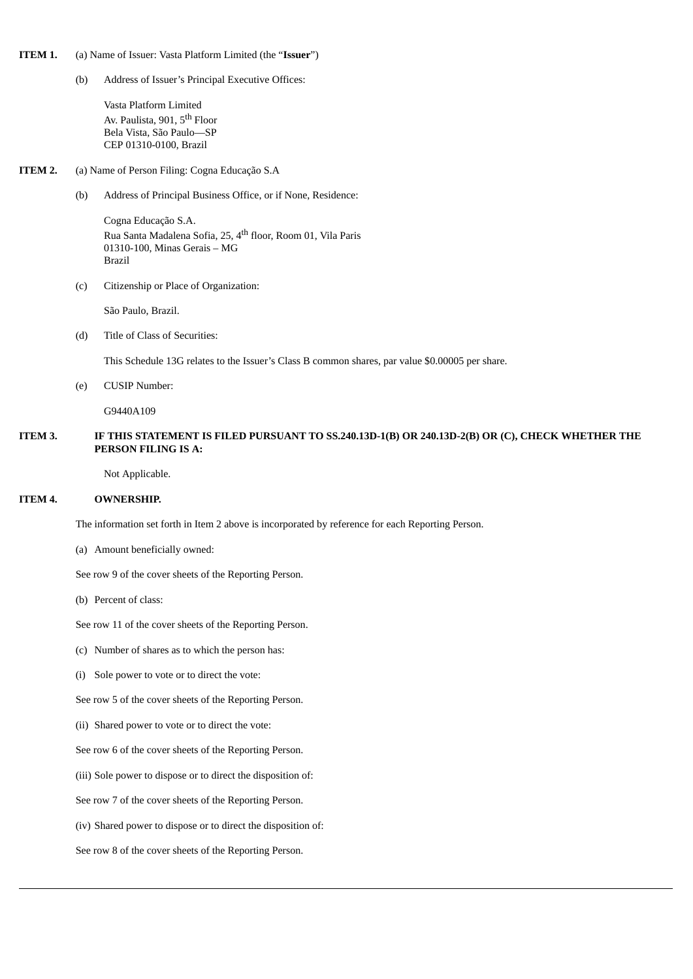#### **ITEM 1.** (a) Name of Issuer: Vasta Platform Limited (the "**Issuer**")

(b) Address of Issuer's Principal Executive Offices:

Vasta Platform Limited Av. Paulista, 901, 5<sup>th</sup> Floor Bela Vista, São Paulo—SP CEP 01310-0100, Brazil

#### **ITEM 2.** (a) Name of Person Filing: Cogna Educação S.A

(b) Address of Principal Business Office, or if None, Residence:

Cogna Educação S.A. Rua Santa Madalena Sofia, 25, 4<sup>th</sup> floor, Room 01, Vila Paris 01310-100, Minas Gerais – MG Brazil

(c) Citizenship or Place of Organization:

São Paulo, Brazil.

(d) Title of Class of Securities:

This Schedule 13G relates to the Issuer's Class B common shares, par value \$0.00005 per share.

(e) CUSIP Number:

G9440A109

#### **ITEM 3. IF THIS STATEMENT IS FILED PURSUANT TO SS.240.13D-1(B) OR 240.13D-2(B) OR (C), CHECK WHETHER THE PERSON FILING IS A:**

Not Applicable.

#### **ITEM 4. OWNERSHIP.**

The information set forth in Item 2 above is incorporated by reference for each Reporting Person.

(a) Amount beneficially owned:

See row 9 of the cover sheets of the Reporting Person.

(b) Percent of class:

See row 11 of the cover sheets of the Reporting Person.

- (c) Number of shares as to which the person has:
- (i) Sole power to vote or to direct the vote:

See row 5 of the cover sheets of the Reporting Person.

(ii) Shared power to vote or to direct the vote:

See row 6 of the cover sheets of the Reporting Person.

(iii) Sole power to dispose or to direct the disposition of:

See row 7 of the cover sheets of the Reporting Person.

(iv) Shared power to dispose or to direct the disposition of:

See row 8 of the cover sheets of the Reporting Person.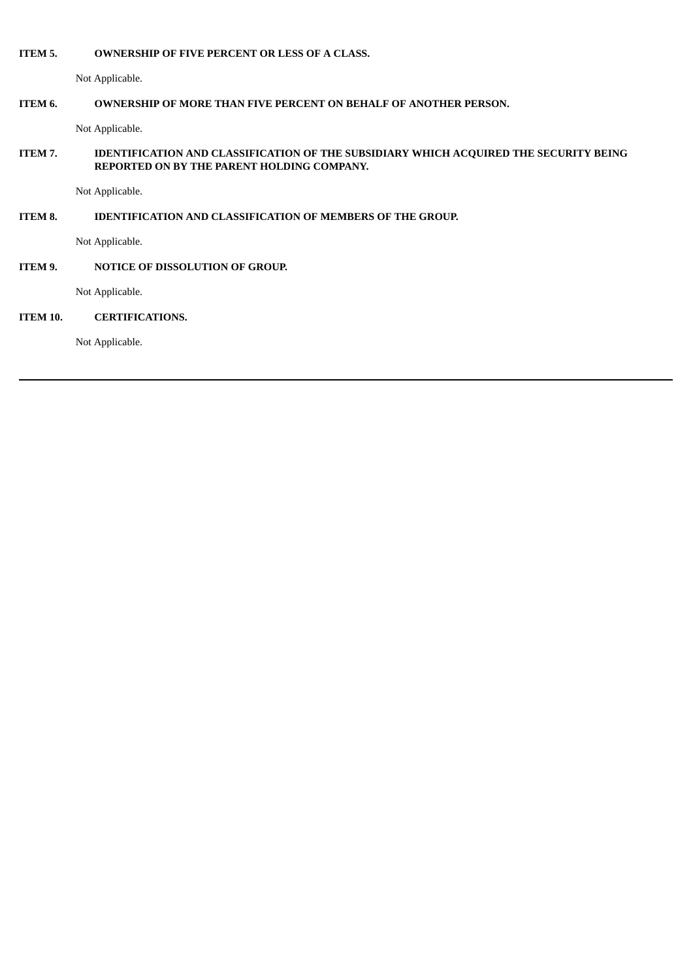#### **ITEM 5. OWNERSHIP OF FIVE PERCENT OR LESS OF A CLASS.**

Not Applicable.

## **ITEM 6. OWNERSHIP OF MORE THAN FIVE PERCENT ON BEHALF OF ANOTHER PERSON.**

Not Applicable.

# **ITEM 7. IDENTIFICATION AND CLASSIFICATION OF THE SUBSIDIARY WHICH ACQUIRED THE SECURITY BEING REPORTED ON BY THE PARENT HOLDING COMPANY.**

Not Applicable.

# **ITEM 8. IDENTIFICATION AND CLASSIFICATION OF MEMBERS OF THE GROUP.**

Not Applicable.

# **ITEM 9. NOTICE OF DISSOLUTION OF GROUP.**

Not Applicable.

## **ITEM 10. CERTIFICATIONS.**

Not Applicable.